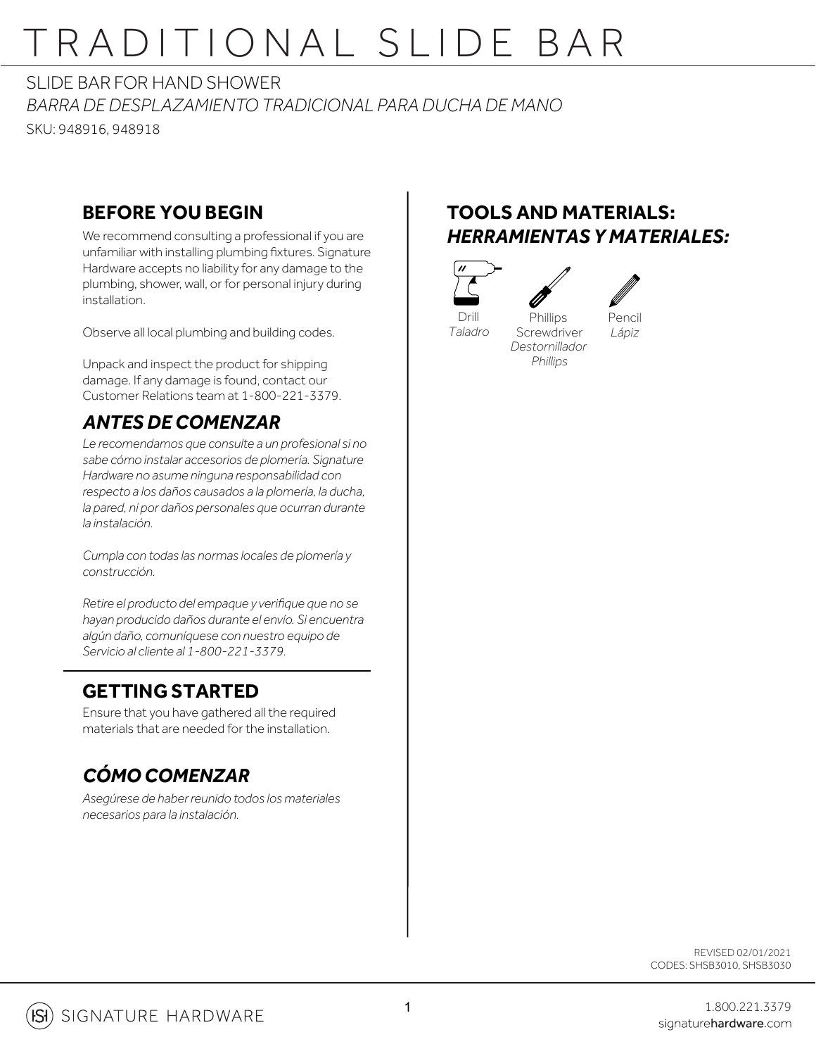# TRADITIONAL SLIDE BAR

SLIDE BAR FOR HAND SHOWER

*BARRA DE DESPLAZAMIENTO TRADICIONAL PARA DUCHA DE MANO*

SKU: 948916, 948918

### **BEFORE YOU BEGIN**

We recommend consulting a professional if you are unfamiliar with installing plumbing fixtures. Signature Hardware accepts no liability for any damage to the plumbing, shower, wall, or for personal injury during installation.

Observe all local plumbing and building codes.

Unpack and inspect the product for shipping damage. If any damage is found, contact our Customer Relations team at 1-800-221-3379.

## *ANTES DE COMENZAR*

*Le recomendamos que consulte a un profesional si no sabe cómo instalar accesorios de plomería. Signature Hardware no asume ninguna responsabilidad con respecto a los daños causados a la plomería, la ducha, la pared, ni por daños personales que ocurran durante la instalación.*

*Cumpla con todas las normas locales de plomería y construcción.*

*Retire el producto del empaque y verifique que no se hayan producido daños durante el envío. Si encuentra algún daño, comuníquese con nuestro equipo de Servicio al cliente al 1-800-221-3379.*

### **GETTING STARTED**

Ensure that you have gathered all the required materials that are needed for the installation.

## *CÓMO COMENZAR*

*Asegúrese de haber reunido todos los materiales necesarios para la instalación.*

## **TOOLS AND MATERIALS:** *HERRAMIENTAS Y MATERIALES:*

**Phillips** Screwdriver *Destornillador Phillips*



*Taladro*



Pencil *Lápiz*

REVISED 02/01/2021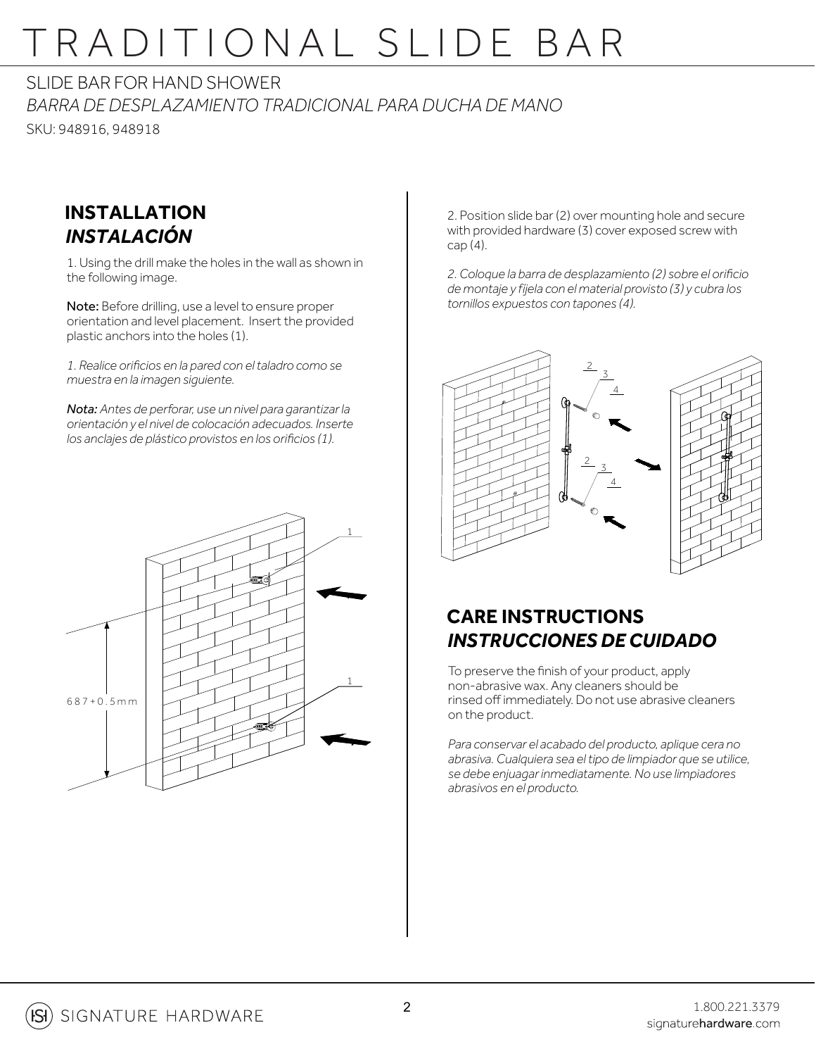## TRADITIONAL SLIDE BAR

SLIDE BAR FOR HAND SHOWER

*BARRA DE DESPLAZAMIENTO TRADICIONAL PARA DUCHA DE MANO* SKU: 948916, 948918

#### **INSTALLATION** *INSTALACIÓN*

1. Using the drill make the holes in the wall as shown in the following image.

Note: Before drilling, use a level to ensure proper orientation and level placement. Insert the provided plastic anchors into the holes (1).

*1. Realice orificios en la pared con el taladro como se muestra en la imagen siguiente.*

*Nota: Antes de perforar, use un nivel para garantizar la orientación y el nivel de colocación adecuados. Inserte los anclajes de plástico provistos en los orificios (1).*



2. Position slide bar (2) over mounting hole and secure with provided hardware (3) cover exposed screw with  $cap (4)$ .

*2. Coloque la barra de desplazamiento (2) sobre el orificio de montaje y fíjela con el material provisto (3) y cubra los tornillos expuestos con tapones (4).*



### **CARE INSTRUCTIONS** *INSTRUCCIONES DE CUIDADO*

To preserve the finish of your product, apply non-abrasive wax. Any cleaners should be rinsed off immediately. Do not use abrasive cleaners on the product.

*Para conservar el acabado del producto, aplique cera no abrasiva. Cualquiera sea el tipo de limpiador que se utilice, se debe enjuagar inmediatamente. No use limpiadores abrasivos en el producto.*